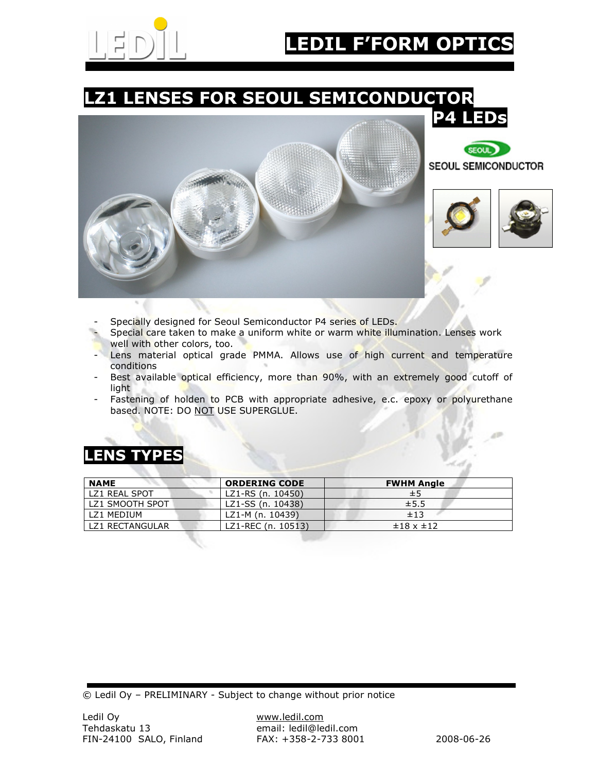

### LZ1 LENSES FOR SEOUL SEMICONDUCTOR







- Specially designed for Seoul Semiconductor P4 series of LEDs.
- Special care taken to make a uniform white or warm white illumination. Lenses work well with other colors, too.
- Lens material optical grade PMMA. Allows use of high current and temperature conditions
- Best available optical efficiency, more than 90%, with an extremely good cutoff of light
- Fastening of holden to PCB with appropriate adhesive, e.c. epoxy or polyurethane based. NOTE: DO NOT USE SUPERGLUE.

### LENS TYPES

| <b>NAME</b>       | <b>ORDERING CODE</b> | <b>FWHM Angle</b>      |
|-------------------|----------------------|------------------------|
| LZ1 REAL SPOT     | LZ1-RS (n. 10450)    | ±5                     |
| LZ1 SMOOTH SPOT   | LZ1-SS (n. 10438)    | ±5.5                   |
| <b>171 MEDIUM</b> | LZ1-M (n. 10439)     | ±13                    |
| LZ1 RECTANGULAR   | LZ1-REC (n. 10513)   | $\pm 18 \times \pm 12$ |

© Ledil Oy – PRELIMINARY - Subject to change without prior notice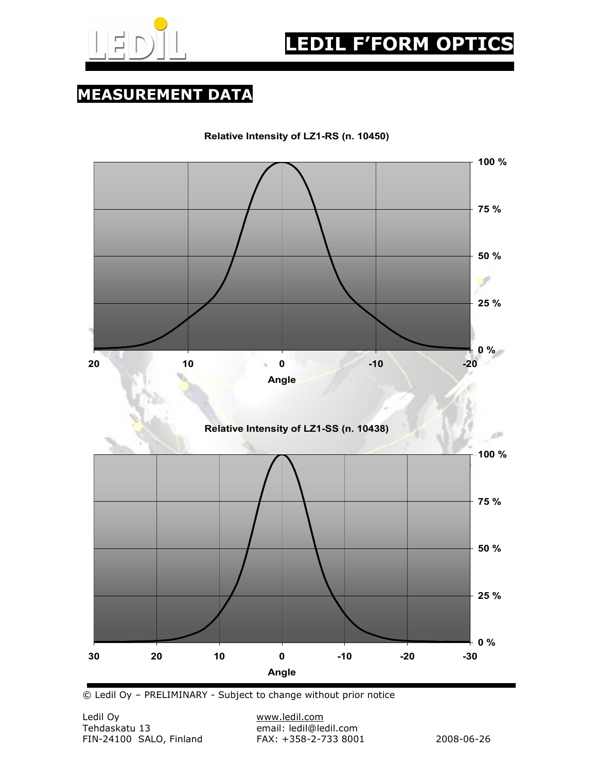

MEASUREMENT DATA

Relative Intensity of LZ1-RS (n. 10450)



© Ledil Oy – PRELIMINARY - Subject to change without prior notice

email: ledil@ledil.com<br>FAX: +358-2-733 8001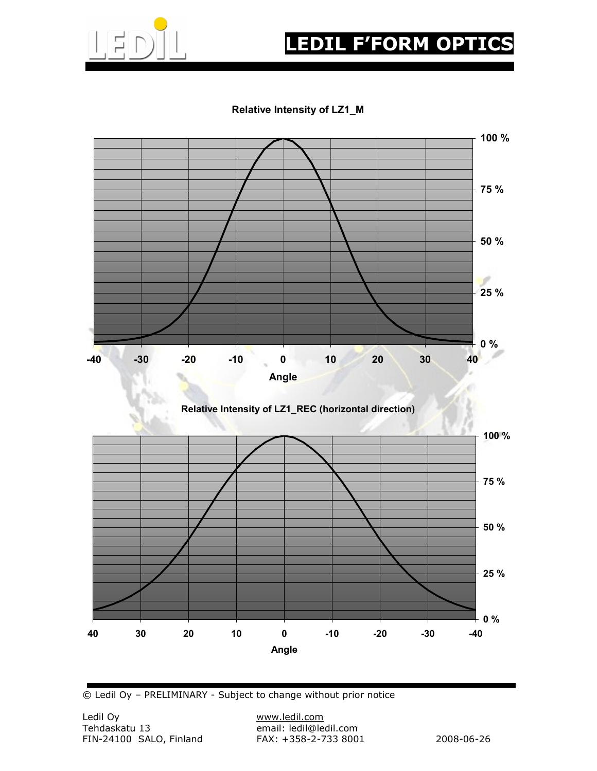

## **EDIL F'FORM OPTIC**

#### Relative Intensity of LZ1\_M



© Ledil Oy – PRELIMINARY - Subject to change without prior notice

email: ledil@ledil.com<br>FAX: +358-2-733 8001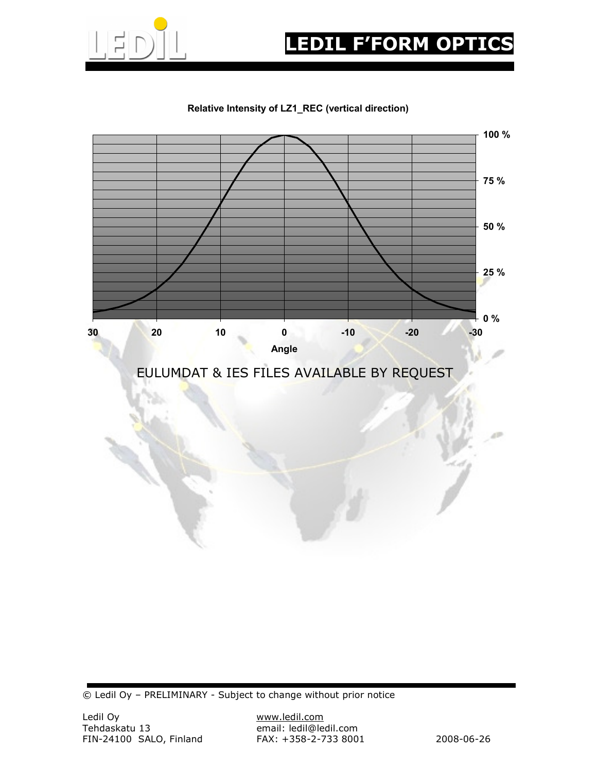

# EDIL F'FORM OPTIC

#### Relative Intensity of LZ1\_REC (vertical direction)



© Ledil Oy – PRELIMINARY - Subject to change without prior notice